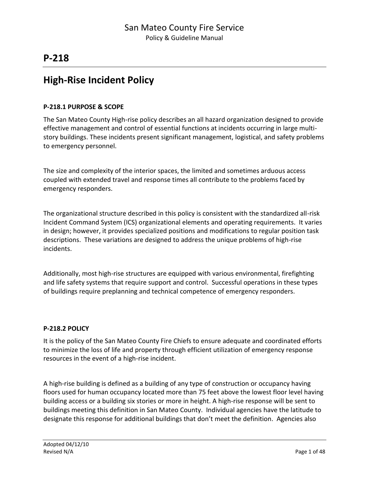## **High-Rise Incident Policy**

#### **P-218.1 PURPOSE & SCOPE**

The San Mateo County High-rise policy describes an all hazard organization designed to provide effective management and control of essential functions at incidents occurring in large multistory buildings. These incidents present significant management, logistical, and safety problems to emergency personnel.

The size and complexity of the interior spaces, the limited and sometimes arduous access coupled with extended travel and response times all contribute to the problems faced by emergency responders.

The organizational structure described in this policy is consistent with the standardized all-risk Incident Command System (ICS) organizational elements and operating requirements. It varies in design; however, it provides specialized positions and modifications to regular position task descriptions. These variations are designed to address the unique problems of high-rise incidents.

Additionally, most high-rise structures are equipped with various environmental, firefighting and life safety systems that require support and control. Successful operations in these types of buildings require preplanning and technical competence of emergency responders.

#### **P-218.2 POLICY**

It is the policy of the San Mateo County Fire Chiefs to ensure adequate and coordinated efforts to minimize the loss of life and property through efficient utilization of emergency response resources in the event of a high-rise incident.

A high-rise building is defined as a building of any type of construction or occupancy having floors used for human occupancy located more than 75 feet above the lowest floor level having building access or a building six stories or more in height. A high-rise response will be sent to buildings meeting this definition in San Mateo County. Individual agencies have the latitude to designate this response for additional buildings that don't meet the definition. Agencies also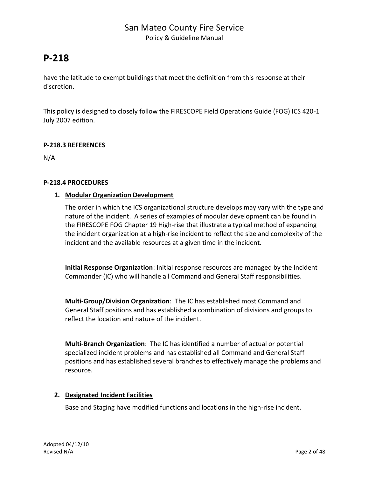## **P-218**

have the latitude to exempt buildings that meet the definition from this response at their discretion.

This policy is designed to closely follow the FIRESCOPE Field Operations Guide (FOG) ICS 420-1 July 2007 edition.

#### **P-218.3 REFERENCES**

N/A

#### **P-218.4 PROCEDURES**

#### **1. Modular Organization Development**

The order in which the ICS organizational structure develops may vary with the type and nature of the incident. A series of examples of modular development can be found in the FIRESCOPE FOG Chapter 19 High-rise that illustrate a typical method of expanding the incident organization at a high-rise incident to reflect the size and complexity of the incident and the available resources at a given time in the incident.

**Initial Response Organization**: Initial response resources are managed by the Incident Commander (IC) who will handle all Command and General Staff responsibilities.

**Multi-Group/Division Organization**: The IC has established most Command and General Staff positions and has established a combination of divisions and groups to reflect the location and nature of the incident.

**Multi-Branch Organization**: The IC has identified a number of actual or potential specialized incident problems and has established all Command and General Staff positions and has established several branches to effectively manage the problems and resource.

#### **2. Designated Incident Facilities**

Base and Staging have modified functions and locations in the high-rise incident.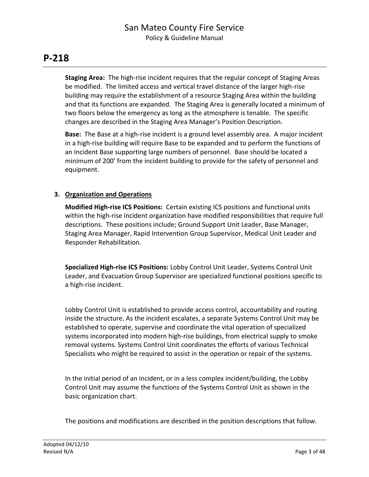**Staging Area:** The high-rise incident requires that the regular concept of Staging Areas be modified. The limited access and vertical travel distance of the larger high-rise building may require the establishment of a resource Staging Area within the building and that its functions are expanded. The Staging Area is generally located a minimum of two floors below the emergency as long as the atmosphere is tenable. The specific changes are described in the Staging Area Manager's Position Description.

**Base:** The Base at a high-rise incident is a ground level assembly area. A major incident in a high-rise building will require Base to be expanded and to perform the functions of an Incident Base supporting large numbers of personnel. Base should be located a minimum of 200' from the incident building to provide for the safety of personnel and equipment.

#### **3. Organization and Operations**

**Modified High-rise ICS Positions:** Certain existing ICS positions and functional units within the high-rise incident organization have modified responsibilities that require full descriptions. These positions include; Ground Support Unit Leader, Base Manager, Staging Area Manager, Rapid Intervention Group Supervisor, Medical Unit Leader and Responder Rehabilitation.

**Specialized High-rise ICS Positions:** Lobby Control Unit Leader, Systems Control Unit Leader, and Evacuation Group Supervisor are specialized functional positions specific to a high-rise incident.

Lobby Control Unit is established to provide access control, accountability and routing inside the structure. As the incident escalates, a separate Systems Control Unit may be established to operate, supervise and coordinate the vital operation of specialized systems incorporated into modern high-rise buildings, from electrical supply to smoke removal systems. Systems Control Unit coordinates the efforts of various Technical Specialists who might be required to assist in the operation or repair of the systems.

In the initial period of an incident, or in a less complex incident/building, the Lobby Control Unit may assume the functions of the Systems Control Unit as shown in the basic organization chart.

The positions and modifications are described in the position descriptions that follow.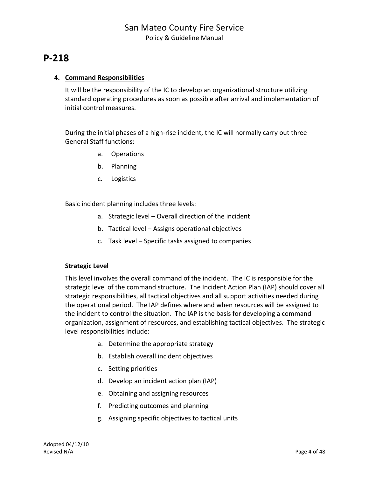#### **4. Command Responsibilities**

It will be the responsibility of the IC to develop an organizational structure utilizing standard operating procedures as soon as possible after arrival and implementation of initial control measures.

During the initial phases of a high-rise incident, the IC will normally carry out three General Staff functions:

- a. Operations
- b. Planning
- c. Logistics

Basic incident planning includes three levels:

- a. Strategic level Overall direction of the incident
- b. Tactical level Assigns operational objectives
- c. Task level Specific tasks assigned to companies

#### **Strategic Level**

This level involves the overall command of the incident. The IC is responsible for the strategic level of the command structure. The Incident Action Plan (IAP) should cover all strategic responsibilities, all tactical objectives and all support activities needed during the operational period. The IAP defines where and when resources will be assigned to the incident to control the situation. The IAP is the basis for developing a command organization, assignment of resources, and establishing tactical objectives. The strategic level responsibilities include:

- a. Determine the appropriate strategy
- b. Establish overall incident objectives
- c. Setting priorities
- d. Develop an incident action plan (IAP)
- e. Obtaining and assigning resources
- f. Predicting outcomes and planning
- g. Assigning specific objectives to tactical units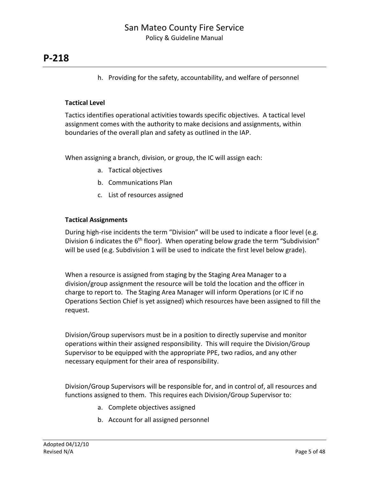h. Providing for the safety, accountability, and welfare of personnel

#### **Tactical Level**

Tactics identifies operational activities towards specific objectives. A tactical level assignment comes with the authority to make decisions and assignments, within boundaries of the overall plan and safety as outlined in the IAP.

When assigning a branch, division, or group, the IC will assign each:

- a. Tactical objectives
- b. Communications Plan
- c. List of resources assigned

#### **Tactical Assignments**

During high-rise incidents the term "Division" will be used to indicate a floor level (e.g. Division 6 indicates the  $6<sup>th</sup>$  floor). When operating below grade the term "Subdivision" will be used (e.g. Subdivision 1 will be used to indicate the first level below grade).

When a resource is assigned from staging by the Staging Area Manager to a division/group assignment the resource will be told the location and the officer in charge to report to. The Staging Area Manager will inform Operations (or IC if no Operations Section Chief is yet assigned) which resources have been assigned to fill the request.

Division/Group supervisors must be in a position to directly supervise and monitor operations within their assigned responsibility. This will require the Division/Group Supervisor to be equipped with the appropriate PPE, two radios, and any other necessary equipment for their area of responsibility.

Division/Group Supervisors will be responsible for, and in control of, all resources and functions assigned to them. This requires each Division/Group Supervisor to:

- a. Complete objectives assigned
- b. Account for all assigned personnel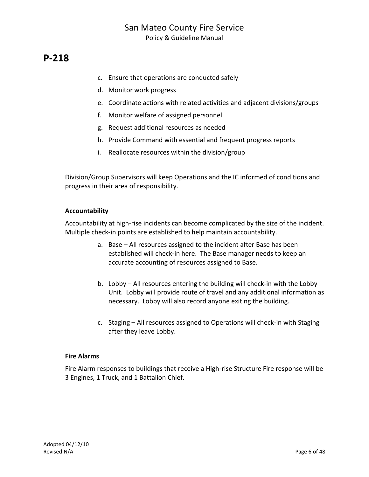- c. Ensure that operations are conducted safely
- d. Monitor work progress
- e. Coordinate actions with related activities and adjacent divisions/groups
- f. Monitor welfare of assigned personnel
- g. Request additional resources as needed
- h. Provide Command with essential and frequent progress reports
- i. Reallocate resources within the division/group

Division/Group Supervisors will keep Operations and the IC informed of conditions and progress in their area of responsibility.

#### **Accountability**

Accountability at high-rise incidents can become complicated by the size of the incident. Multiple check-in points are established to help maintain accountability.

- a. Base All resources assigned to the incident after Base has been established will check-in here. The Base manager needs to keep an accurate accounting of resources assigned to Base.
- b. Lobby All resources entering the building will check-in with the Lobby Unit. Lobby will provide route of travel and any additional information as necessary. Lobby will also record anyone exiting the building.
- c. Staging All resources assigned to Operations will check-in with Staging after they leave Lobby.

#### **Fire Alarms**

Fire Alarm responses to buildings that receive a High-rise Structure Fire response will be 3 Engines, 1 Truck, and 1 Battalion Chief.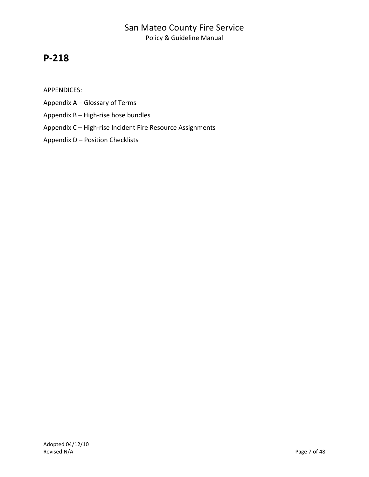## **P-218**

APPENDICES:

- Appendix A Glossary of Terms
- Appendix B High-rise hose bundles
- Appendix C High-rise Incident Fire Resource Assignments
- Appendix D Position Checklists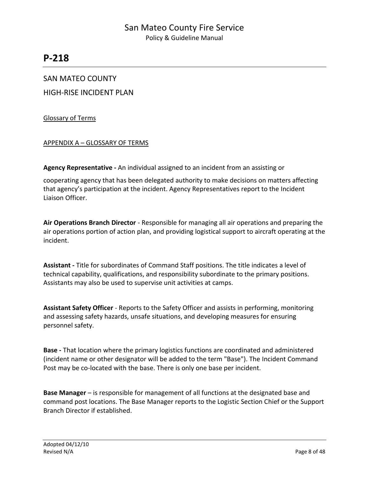## **P-218**

#### SAN MATEO COUNTY

HIGH-RISE INCIDENT PLAN

#### Glossary of Terms

#### APPENDIX A – GLOSSARY OF TERMS

**Agency Representative -** An individual assigned to an incident from an assisting or

cooperating agency that has been delegated authority to make decisions on matters affecting that agency's participation at the incident. Agency Representatives report to the Incident Liaison Officer.

**Air Operations Branch Director** - Responsible for managing all air operations and preparing the air operations portion of action plan, and providing logistical support to aircraft operating at the incident.

**Assistant -** Title for subordinates of Command Staff positions. The title indicates a level of technical capability, qualifications, and responsibility subordinate to the primary positions. Assistants may also be used to supervise unit activities at camps.

**Assistant Safety Officer** - Reports to the Safety Officer and assists in performing, monitoring and assessing safety hazards, unsafe situations, and developing measures for ensuring personnel safety.

**Base -** That location where the primary logistics functions are coordinated and administered (incident name or other designator will be added to the term "Base"). The Incident Command Post may be co-located with the base. There is only one base per incident.

**Base Manager** – is responsible for management of all functions at the designated base and command post locations. The Base Manager reports to the Logistic Section Chief or the Support Branch Director if established.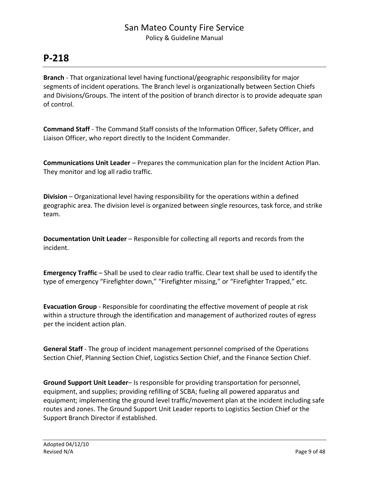## **P-218**

**Branch** - That organizational level having functional/geographic responsibility for major segments of incident operations. The Branch level is organizationally between Section Chiefs and Divisions/Groups. The intent of the position of branch director is to provide adequate span of control.

**Command Staff** - The Command Staff consists of the Information Officer, Safety Officer, and Liaison Officer, who report directly to the Incident Commander.

**Communications Unit Leader** – Prepares the communication plan for the Incident Action Plan. They monitor and log all radio traffic.

**Division** – Organizational level having responsibility for the operations within a defined geographic area. The division level is organized between single resources, task force, and strike team.

**Documentation Unit Leader** – Responsible for collecting all reports and records from the incident.

**Emergency Traffic** – Shall be used to clear radio traffic. Clear text shall be used to identify the type of emergency "Firefighter down," "Firefighter missing," or "Firefighter Trapped," etc.

**Evacuation Group** - Responsible for coordinating the effective movement of people at risk within a structure through the identification and management of authorized routes of egress per the incident action plan.

**General Staff** - The group of incident management personnel comprised of the Operations Section Chief, Planning Section Chief, Logistics Section Chief, and the Finance Section Chief.

**Ground Support Unit Leader**– Is responsible for providing transportation for personnel, equipment, and supplies; providing refilling of SCBA; fueling all powered apparatus and equipment; implementing the ground level traffic/movement plan at the incident including safe routes and zones. The Ground Support Unit Leader reports to Logistics Section Chief or the Support Branch Director if established.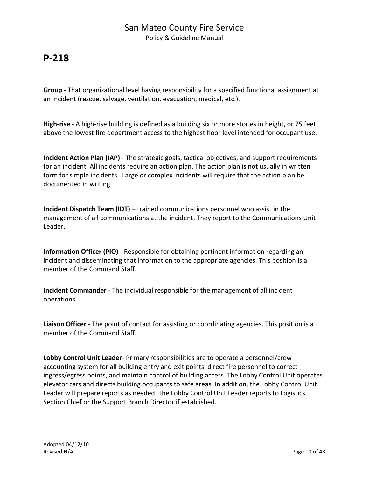**Group** - That organizational level having responsibility for a specified functional assignment at an incident (rescue, salvage, ventilation, evacuation, medical, etc.).

**High-rise -** A high-rise building is defined as a building six or more stories in height, or 75 feet above the lowest fire department access to the highest floor level intended for occupant use.

**Incident Action Plan (IAP)** - The strategic goals, tactical objectives, and support requirements for an incident. All incidents require an action plan. The action plan is not usually in written form for simple incidents. Large or complex incidents will require that the action plan be documented in writing.

**Incident Dispatch Team (IDT)** – trained communications personnel who assist in the management of all communications at the incident. They report to the Communications Unit Leader.

**Information Officer (PIO)** - Responsible for obtaining pertinent information regarding an incident and disseminating that information to the appropriate agencies. This position is a member of the Command Staff.

**Incident Commander** - The individual responsible for the management of all incident operations.

**Liaison Officer** - The point of contact for assisting or coordinating agencies. This position is a member of the Command Staff.

**Lobby Control Unit Leader**- Primary responsibilities are to operate a personnel/crew accounting system for all building entry and exit points, direct fire personnel to correct ingress/egress points, and maintain control of building access. The Lobby Control Unit operates elevator cars and directs building occupants to safe areas. In addition, the Lobby Control Unit Leader will prepare reports as needed. The Lobby Control Unit Leader reports to Logistics Section Chief or the Support Branch Director if established.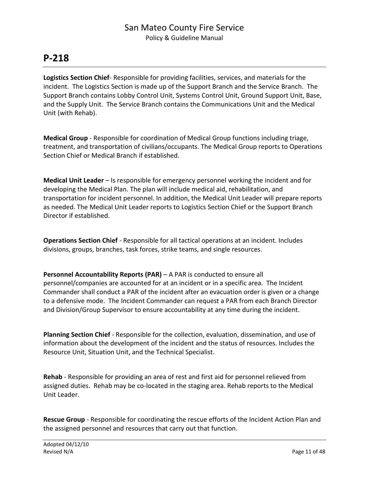**Logistics Section Chief**- Responsible for providing facilities, services, and materials for the incident. The Logistics Section is made up of the Support Branch and the Service Branch. The Support Branch contains Lobby Control Unit, Systems Control Unit, Ground Support Unit, Base, and the Supply Unit. The Service Branch contains the Communications Unit and the Medical Unit (with Rehab).

**Medical Group** - Responsible for coordination of Medical Group functions including triage, treatment, and transportation of civilians/occupants. The Medical Group reports to Operations Section Chief or Medical Branch if established.

**Medical Unit Leader** – Is responsible for emergency personnel working the incident and for developing the Medical Plan. The plan will include medical aid, rehabilitation, and transportation for incident personnel. In addition, the Medical Unit Leader will prepare reports as needed. The Medical Unit Leader reports to Logistics Section Chief or the Support Branch Director if established.

**Operations Section Chief** - Responsible for all tactical operations at an incident. Includes divisions, groups, branches, task forces, strike teams, and single resources.

**Personnel Accountability Reports (PAR)** – A PAR is conducted to ensure all personnel/companies are accounted for at an incident or in a specific area. The Incident Commander shall conduct a PAR of the incident after an evacuation order is given or a change to a defensive mode. The Incident Commander can request a PAR from each Branch Director and Division/Group Supervisor to ensure accountability at any time during the incident.

**Planning Section Chief** - Responsible for the collection, evaluation, dissemination, and use of information about the development of the incident and the status of resources. Includes the Resource Unit, Situation Unit, and the Technical Specialist.

**Rehab** - Responsible for providing an area of rest and first aid for personnel relieved from assigned duties. Rehab may be co-located in the staging area. Rehab reports to the Medical Unit Leader.

**Rescue Group** - Responsible for coordinating the rescue efforts of the Incident Action Plan and the assigned personnel and resources that carry out that function.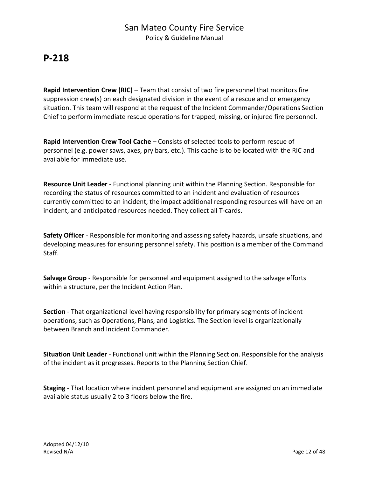**Rapid Intervention Crew (RIC)** – Team that consist of two fire personnel that monitors fire suppression crew(s) on each designated division in the event of a rescue and or emergency situation. This team will respond at the request of the Incident Commander/Operations Section Chief to perform immediate rescue operations for trapped, missing, or injured fire personnel.

**Rapid Intervention Crew Tool Cache** – Consists of selected tools to perform rescue of personnel (e.g. power saws, axes, pry bars, etc.). This cache is to be located with the RIC and available for immediate use.

**Resource Unit Leader** - Functional planning unit within the Planning Section. Responsible for recording the status of resources committed to an incident and evaluation of resources currently committed to an incident, the impact additional responding resources will have on an incident, and anticipated resources needed. They collect all T-cards.

**Safety Officer** - Responsible for monitoring and assessing safety hazards, unsafe situations, and developing measures for ensuring personnel safety. This position is a member of the Command Staff.

**Salvage Group** - Responsible for personnel and equipment assigned to the salvage efforts within a structure, per the Incident Action Plan.

**Section** - That organizational level having responsibility for primary segments of incident operations, such as Operations, Plans, and Logistics. The Section level is organizationally between Branch and Incident Commander.

**Situation Unit Leader** - Functional unit within the Planning Section. Responsible for the analysis of the incident as it progresses. Reports to the Planning Section Chief.

**Staging** - That location where incident personnel and equipment are assigned on an immediate available status usually 2 to 3 floors below the fire.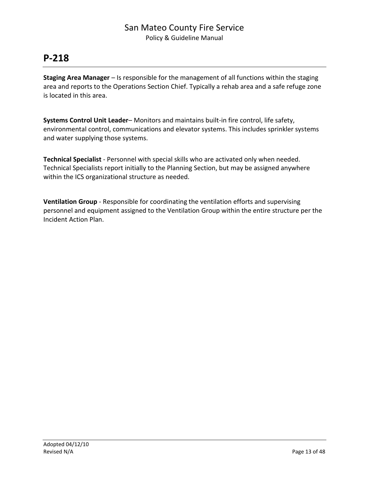## **P-218**

**Staging Area Manager** – Is responsible for the management of all functions within the staging area and reports to the Operations Section Chief. Typically a rehab area and a safe refuge zone is located in this area.

**Systems Control Unit Leader**– Monitors and maintains built-in fire control, life safety, environmental control, communications and elevator systems. This includes sprinkler systems and water supplying those systems.

**Technical Specialist** - Personnel with special skills who are activated only when needed. Technical Specialists report initially to the Planning Section, but may be assigned anywhere within the ICS organizational structure as needed.

**Ventilation Group** - Responsible for coordinating the ventilation efforts and supervising personnel and equipment assigned to the Ventilation Group within the entire structure per the Incident Action Plan.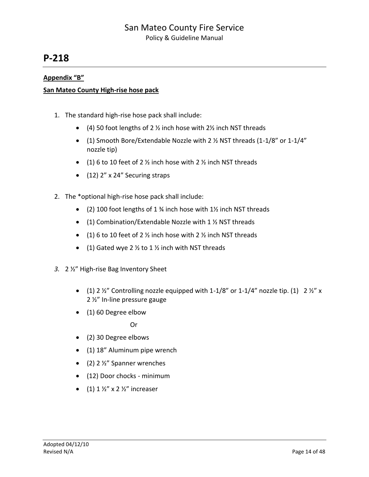## **P-218**

#### **Appendix "B"**

#### **San Mateo County High-rise hose pack**

- 1. The standard high-rise hose pack shall include:
	- $(4)$  50 foot lengths of 2 % inch hose with 2% inch NST threads
	- (1) Smooth Bore/Extendable Nozzle with 2 ½ NST threads (1-1/8" or 1-1/4" nozzle tip)
	- $(1)$  6 to 10 feet of 2  $\frac{1}{2}$  inch hose with 2  $\frac{1}{2}$  inch NST threads
	- $(12)$  2" x 24" Securing straps
- 2. The \*optional high-rise hose pack shall include:
	- (2) 100 foot lengths of 1 ¾ inch hose with 1½ inch NST threads
	- (1) Combination/Extendable Nozzle with 1 ½ NST threads
	- $(1)$  6 to 10 feet of 2  $\frac{1}{2}$  inch hose with 2  $\frac{1}{2}$  inch NST threads
	- (1) Gated wye 2  $\frac{1}{2}$  to 1  $\frac{1}{2}$  inch with NST threads
- *3.* 2 ½" High-rise Bag Inventory Sheet
	- (1) 2  $\frac{1}{2}$  Controlling nozzle equipped with 1-1/8" or 1-1/4" nozzle tip. (1) 2  $\frac{1}{2}$ " x 2 ½" In-line pressure gauge
	- (1) 60 Degree elbow

Or

- (2) 30 Degree elbows
- (1) 18" Aluminum pipe wrench
- $(2)$  2 ½" Spanner wrenches
- (12) Door chocks minimum
- $(1)$  1  $\frac{1}{2}$ " x 2  $\frac{1}{2}$ " increaser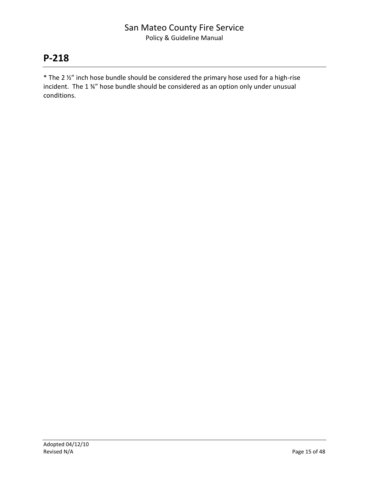## **P-218**

\* The 2 ½" inch hose bundle should be considered the primary hose used for a high-rise incident. The 1 ¾" hose bundle should be considered as an option only under unusual conditions.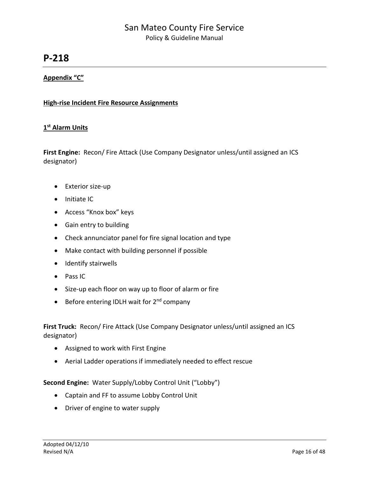## **P-218**

#### **Appendix "C"**

#### **High-rise Incident Fire Resource Assignments**

#### **1 st Alarm Units**

**First Engine:** Recon/ Fire Attack (Use Company Designator unless/until assigned an ICS designator)

- Exterior size-up
- Initiate IC
- Access "Knox box" keys
- Gain entry to building
- Check annunciator panel for fire signal location and type
- Make contact with building personnel if possible
- Identify stairwells
- Pass IC
- Size-up each floor on way up to floor of alarm or fire
- **•** Before entering IDLH wait for  $2^{nd}$  company

First Truck: Recon/ Fire Attack (Use Company Designator unless/until assigned an ICS designator)

- Assigned to work with First Engine
- Aerial Ladder operations if immediately needed to effect rescue

#### **Second Engine:** Water Supply/Lobby Control Unit ("Lobby")

- Captain and FF to assume Lobby Control Unit
- Driver of engine to water supply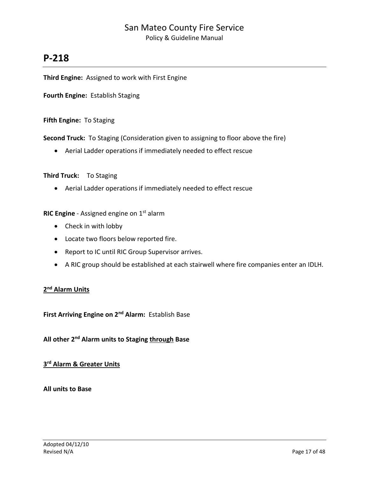## **P-218**

**Third Engine:** Assigned to work with First Engine

**Fourth Engine:** Establish Staging

**Fifth Engine:** To Staging

**Second Truck:** To Staging (Consideration given to assigning to floor above the fire)

Aerial Ladder operations if immediately needed to effect rescue

#### **Third Truck:** To Staging

Aerial Ladder operations if immediately needed to effect rescue

**RIC Engine** - Assigned engine on 1<sup>st</sup> alarm

- Check in with lobby
- Locate two floors below reported fire.
- Report to IC until RIC Group Supervisor arrives.
- A RIC group should be established at each stairwell where fire companies enter an IDLH.

#### **2 nd Alarm Units**

**First Arriving Engine on 2nd Alarm:** Establish Base

**All other 2nd Alarm units to Staging through Base**

#### **3 rd Alarm & Greater Units**

#### **All units to Base**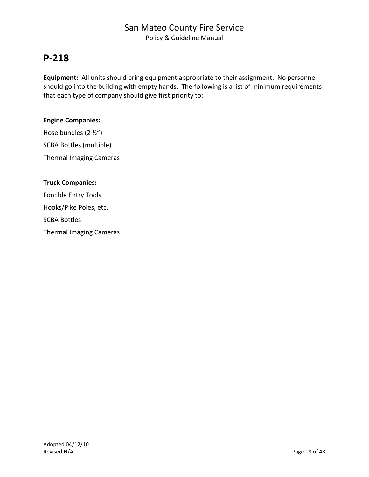## **P-218**

**Equipment:** All units should bring equipment appropriate to their assignment. No personnel should go into the building with empty hands. The following is a list of minimum requirements that each type of company should give first priority to:

#### **Engine Companies:**

Hose bundles (2 ½") SCBA Bottles (multiple) Thermal Imaging Cameras

## **Truck Companies:** Forcible Entry Tools Hooks/Pike Poles, etc. SCBA Bottles Thermal Imaging Cameras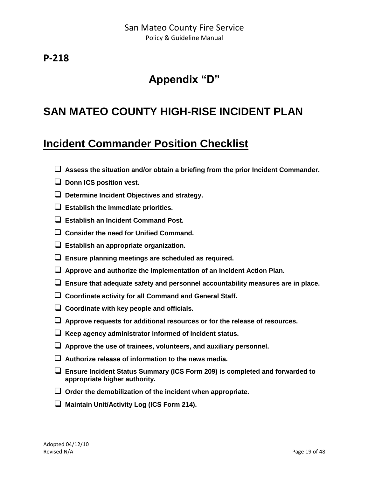# **Appendix "D"**

# **SAN MATEO COUNTY HIGH-RISE INCIDENT PLAN**

# **Incident Commander Position Checklist**

- **Assess the situation and/or obtain a briefing from the prior Incident Commander.**
- $\Box$  Donn ICS position vest.
- **Determine Incident Objectives and strategy.**
- **Establish the immediate priorities.**
- **Establish an Incident Command Post.**
- **Consider the need for Unified Command.**
- **Establish an appropriate organization.**
- **Ensure planning meetings are scheduled as required.**
- **Approve and authorize the implementation of an Incident Action Plan.**
- **Ensure that adequate safety and personnel accountability measures are in place.**
- **Coordinate activity for all Command and General Staff.**
- **Coordinate with key people and officials.**
- **Approve requests for additional resources or for the release of resources.**
- **Keep agency administrator informed of incident status.**
- **Approve the use of trainees, volunteers, and auxiliary personnel.**
- **Authorize release of information to the news media.**
- **Ensure Incident Status Summary (ICS Form 209) is completed and forwarded to appropriate higher authority.**
- **Order the demobilization of the incident when appropriate.**
- **Maintain Unit/Activity Log (ICS Form 214).**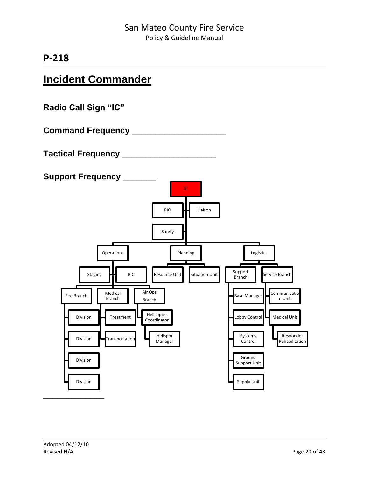# **Incident Commander**

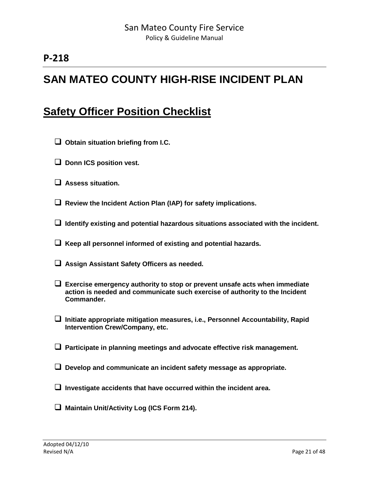# **SAN MATEO COUNTY HIGH-RISE INCIDENT PLAN**

## **Safety Officer Position Checklist**

- **Obtain situation briefing from I.C.**
- **Donn ICS position vest.**
- **Assess situation.**
- **Review the Incident Action Plan (IAP) for safety implications.**
- **Identify existing and potential hazardous situations associated with the incident.**
- **Keep all personnel informed of existing and potential hazards.**
- **Assign Assistant Safety Officers as needed.**
- **Exercise emergency authority to stop or prevent unsafe acts when immediate action is needed and communicate such exercise of authority to the Incident Commander.**
- **Initiate appropriate mitigation measures, i.e., Personnel Accountability, Rapid Intervention Crew/Company, etc.**
- **Participate in planning meetings and advocate effective risk management.**
- **Develop and communicate an incident safety message as appropriate.**
- **Investigate accidents that have occurred within the incident area.**
- **Maintain Unit/Activity Log (ICS Form 214).**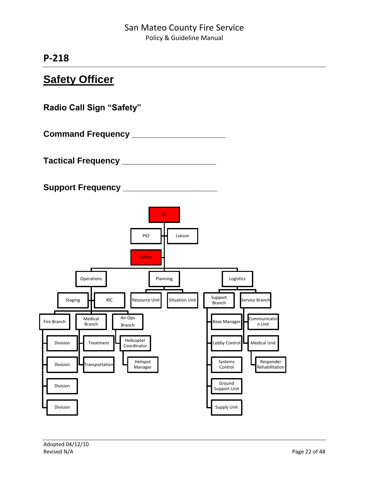# **Safety Officer**

**Radio Call Sign "Safety"**

**Command Frequency \_\_\_\_\_\_\_\_\_\_\_\_\_\_\_\_\_\_\_\_**

**Tactical Frequency \_\_\_\_\_\_\_\_\_\_\_\_\_\_\_\_\_\_\_\_**

**Support Frequency \_\_\_\_\_\_\_\_\_\_\_\_\_\_\_\_\_\_\_\_**

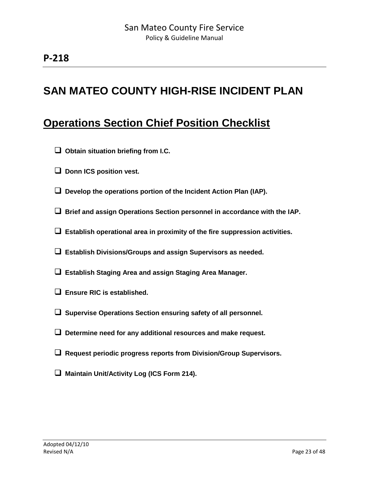# **SAN MATEO COUNTY HIGH-RISE INCIDENT PLAN**

# **Operations Section Chief Position Checklist**

- **Obtain situation briefing from I.C.**
- **D** Donn ICS position vest.
- **Develop the operations portion of the Incident Action Plan (IAP).**
- **Brief and assign Operations Section personnel in accordance with the IAP.**
- **Establish operational area in proximity of the fire suppression activities.**
- **Establish Divisions/Groups and assign Supervisors as needed.**
- **Establish Staging Area and assign Staging Area Manager.**
- **Ensure RIC is established.**
- **Supervise Operations Section ensuring safety of all personnel.**
- **Determine need for any additional resources and make request.**
- **Request periodic progress reports from Division/Group Supervisors.**
- **Maintain Unit/Activity Log (ICS Form 214).**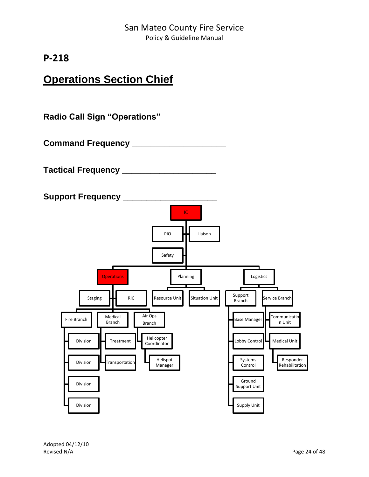# **Operations Section Chief**

**Radio Call Sign "Operations"**

**Command Frequency \_\_\_\_\_\_\_\_\_\_\_\_\_\_\_\_\_\_\_\_**

**Tactical Frequency \_\_\_\_\_\_\_\_\_\_\_\_\_\_\_\_\_\_\_\_**

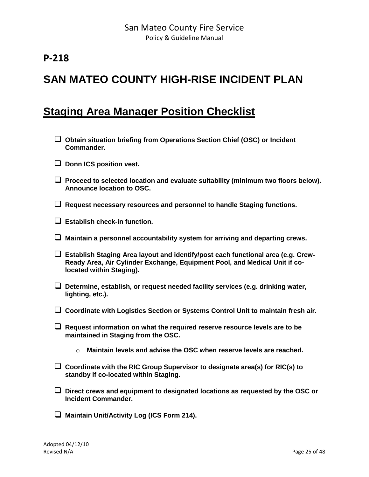# **SAN MATEO COUNTY HIGH-RISE INCIDENT PLAN**

## **Staging Area Manager Position Checklist**

- **Obtain situation briefing from Operations Section Chief (OSC) or Incident Commander.**
- **D** Donn ICS position vest.
- **Proceed to selected location and evaluate suitability (minimum two floors below). Announce location to OSC.**
- **Request necessary resources and personnel to handle Staging functions.**
- **Establish check-in function.**
- **Maintain a personnel accountability system for arriving and departing crews.**
- **Establish Staging Area layout and identify/post each functional area (e.g. Crew-Ready Area, Air Cylinder Exchange, Equipment Pool, and Medical Unit if colocated within Staging).**
- **Determine, establish, or request needed facility services (e.g. drinking water, lighting, etc.).**
- **Coordinate with Logistics Section or Systems Control Unit to maintain fresh air.**
- **Request information on what the required reserve resource levels are to be maintained in Staging from the OSC.**
	- o **Maintain levels and advise the OSC when reserve levels are reached.**
- **Coordinate with the RIC Group Supervisor to designate area(s) for RIC(s) to standby if co-located within Staging.**
- **Direct crews and equipment to designated locations as requested by the OSC or Incident Commander.**
- **Maintain Unit/Activity Log (ICS Form 214).**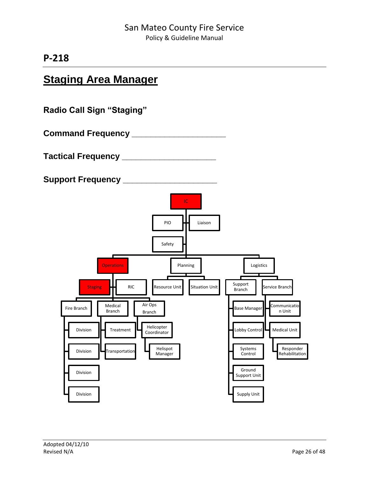# **Staging Area Manager**

**Radio Call Sign "Staging"**

**Command Frequency \_\_\_\_\_\_\_\_\_\_\_\_\_\_\_\_\_\_\_\_**

**Tactical Frequency \_\_\_\_\_\_\_\_\_\_\_\_\_\_\_\_\_\_\_\_**

**Support Frequency \_\_\_\_\_\_\_\_\_\_\_\_\_\_\_\_\_\_\_\_**

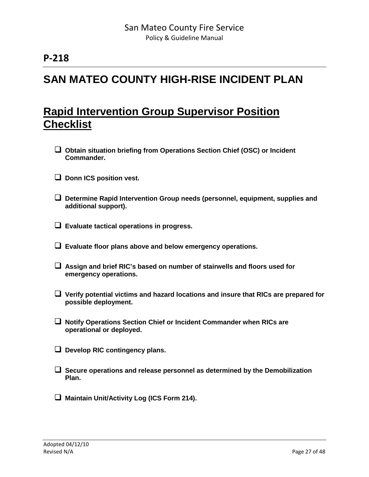# **SAN MATEO COUNTY HIGH-RISE INCIDENT PLAN**

# **Rapid Intervention Group Supervisor Position Checklist**

- **Obtain situation briefing from Operations Section Chief (OSC) or Incident Commander.**
- **L** Donn ICS position vest.
- **Determine Rapid Intervention Group needs (personnel, equipment, supplies and additional support).**
- **Evaluate tactical operations in progress.**
- **Evaluate floor plans above and below emergency operations.**
- **Assign and brief RIC's based on number of stairwells and floors used for emergency operations.**
- **Verify potential victims and hazard locations and insure that RICs are prepared for possible deployment.**
- **Notify Operations Section Chief or Incident Commander when RICs are operational or deployed.**
- **Develop RIC contingency plans.**
- **Secure operations and release personnel as determined by the Demobilization Plan.**
- **Maintain Unit/Activity Log (ICS Form 214).**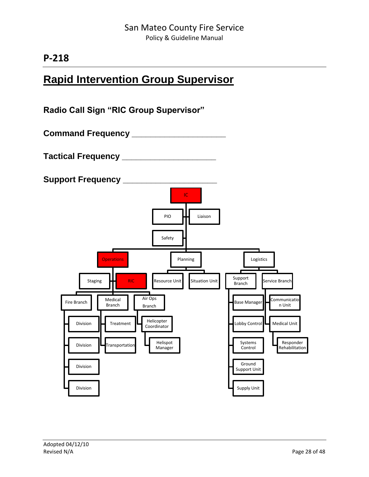# **Rapid Intervention Group Supervisor**

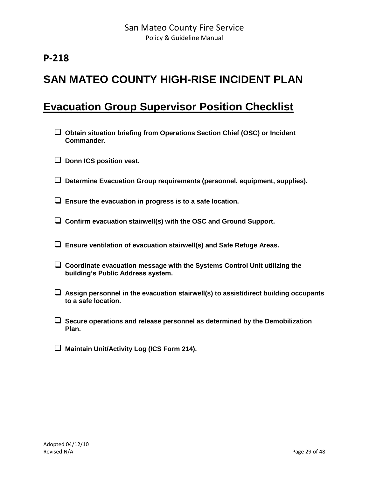# **SAN MATEO COUNTY HIGH-RISE INCIDENT PLAN**

## **Evacuation Group Supervisor Position Checklist**

- **Obtain situation briefing from Operations Section Chief (OSC) or Incident Commander.**
- **D** Donn ICS position vest.
- **Determine Evacuation Group requirements (personnel, equipment, supplies).**
- **Ensure the evacuation in progress is to a safe location.**
- **Confirm evacuation stairwell(s) with the OSC and Ground Support.**
- **Ensure ventilation of evacuation stairwell(s) and Safe Refuge Areas.**
- **Coordinate evacuation message with the Systems Control Unit utilizing the building's Public Address system.**
- **Assign personnel in the evacuation stairwell(s) to assist/direct building occupants to a safe location.**
- **Secure operations and release personnel as determined by the Demobilization Plan.**
- **Maintain Unit/Activity Log (ICS Form 214).**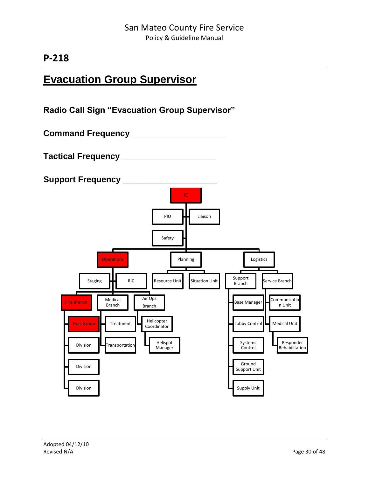# **Evacuation Group Supervisor**

**Radio Call Sign "Evacuation Group Supervisor"**

**Command Frequency \_\_\_\_\_\_\_\_\_\_\_\_\_\_\_\_\_\_\_\_**

**Tactical Frequency \_\_\_\_\_\_\_\_\_\_\_\_\_\_\_\_\_\_\_\_**

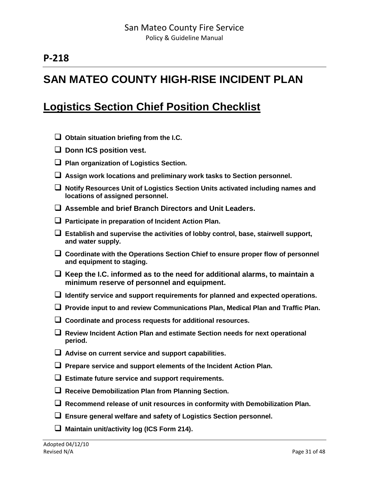# **SAN MATEO COUNTY HIGH-RISE INCIDENT PLAN**

# **Logistics Section Chief Position Checklist**

|    | $\Box$ Obtain situation briefing from the I.C.                                                                                   |
|----|----------------------------------------------------------------------------------------------------------------------------------|
| u. | Donn ICS position vest.                                                                                                          |
|    | $\Box$ Plan organization of Logistics Section.                                                                                   |
|    | $\Box$ Assign work locations and preliminary work tasks to Section personnel.                                                    |
|    | Notify Resources Unit of Logistics Section Units activated including names and<br>locations of assigned personnel.               |
|    | $\Box$ Assemble and brief Branch Directors and Unit Leaders.                                                                     |
|    | $\Box$ Participate in preparation of Incident Action Plan.                                                                       |
|    | $\Box$ Establish and supervise the activities of lobby control, base, stairwell support,<br>and water supply.                    |
|    | $\Box$ Coordinate with the Operations Section Chief to ensure proper flow of personnel<br>and equipment to staging.              |
|    | $\Box$ Keep the I.C. informed as to the need for additional alarms, to maintain a<br>minimum reserve of personnel and equipment. |
|    | $\Box$ Identify service and support requirements for planned and expected operations.                                            |
|    | $\Box$ Provide input to and review Communications Plan, Medical Plan and Traffic Plan.                                           |
|    | $\Box$ Coordinate and process requests for additional resources.                                                                 |
|    | $\Box$ Review Incident Action Plan and estimate Section needs for next operational<br>period.                                    |
|    | $\Box$ Advise on current service and support capabilities.                                                                       |
|    | $\Box$ Prepare service and support elements of the Incident Action Plan.                                                         |
|    | $\Box$ Estimate future service and support requirements.                                                                         |
|    | $\Box$ Receive Demobilization Plan from Planning Section.                                                                        |
| ⊔. | Recommend release of unit resources in conformity with Demobilization Plan.                                                      |
|    | $\Box$ Ensure general welfare and safety of Logistics Section personnel.                                                         |
|    | $\Box$ Maintain unit/activity log (ICS Form 214).                                                                                |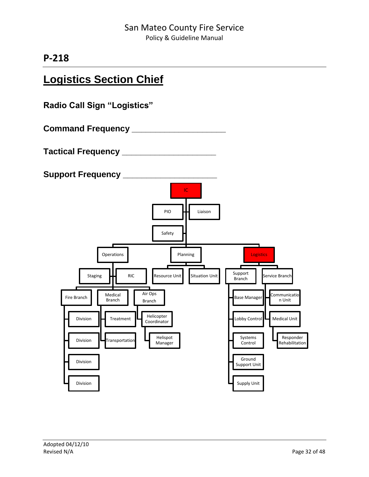# **Logistics Section Chief**

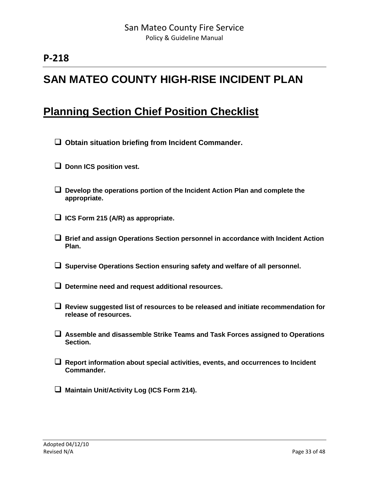# **SAN MATEO COUNTY HIGH-RISE INCIDENT PLAN**

# **Planning Section Chief Position Checklist**

- **Obtain situation briefing from Incident Commander.**
- **Donn ICS position vest.**
- **Develop the operations portion of the Incident Action Plan and complete the appropriate.**
- **ICS Form 215 (A/R) as appropriate.**
- **Brief and assign Operations Section personnel in accordance with Incident Action Plan.**
- **Supervise Operations Section ensuring safety and welfare of all personnel.**
- **Determine need and request additional resources.**
- **Review suggested list of resources to be released and initiate recommendation for release of resources.**
- **Assemble and disassemble Strike Teams and Task Forces assigned to Operations Section.**
- **Report information about special activities, events, and occurrences to Incident Commander.**
- **Maintain Unit/Activity Log (ICS Form 214).**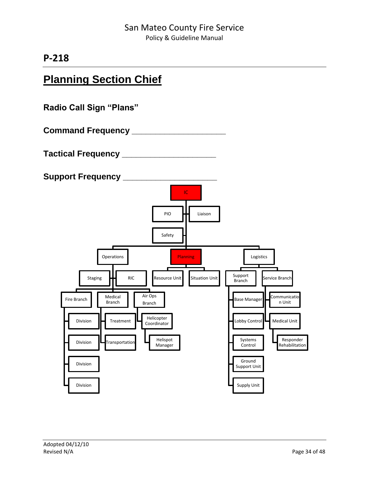# **Planning Section Chief**

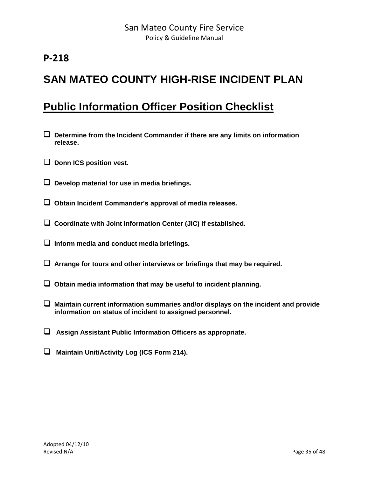# **SAN MATEO COUNTY HIGH-RISE INCIDENT PLAN**

# **Public Information Officer Position Checklist**

- **Determine from the Incident Commander if there are any limits on information release.**
- $\Box$  Donn ICS position vest.
- **Develop material for use in media briefings.**
- **Obtain Incident Commander's approval of media releases.**
- **Coordinate with Joint Information Center (JIC) if established.**
- **Inform media and conduct media briefings.**
- **Arrange for tours and other interviews or briefings that may be required.**
- **Obtain media information that may be useful to incident planning.**
- **Maintain current information summaries and/or displays on the incident and provide information on status of incident to assigned personnel.**
- **Assign Assistant Public Information Officers as appropriate.**
- **Maintain Unit/Activity Log (ICS Form 214).**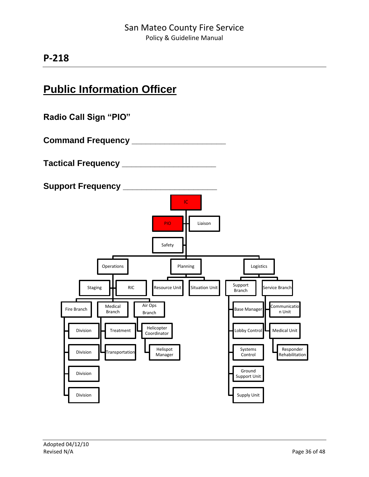# **Public Information Officer**



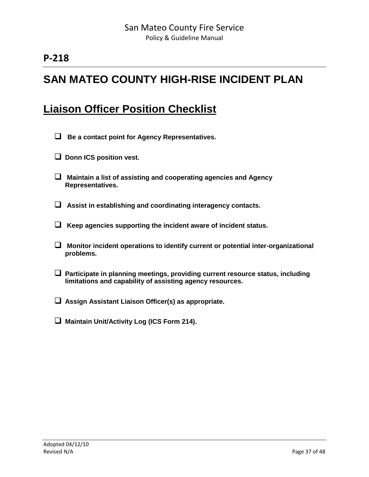# **SAN MATEO COUNTY HIGH-RISE INCIDENT PLAN**

# **Liaison Officer Position Checklist**

- **Be a contact point for Agency Representatives.**
- **D** Donn ICS position vest.
- **Maintain a list of assisting and cooperating agencies and Agency Representatives.**
- **Assist in establishing and coordinating interagency contacts.**
- **Keep agencies supporting the incident aware of incident status.**
- **Monitor incident operations to identify current or potential inter-organizational problems.**
- **Participate in planning meetings, providing current resource status, including limitations and capability of assisting agency resources.**
- **Assign Assistant Liaison Officer(s) as appropriate.**
- **Maintain Unit/Activity Log (ICS Form 214).**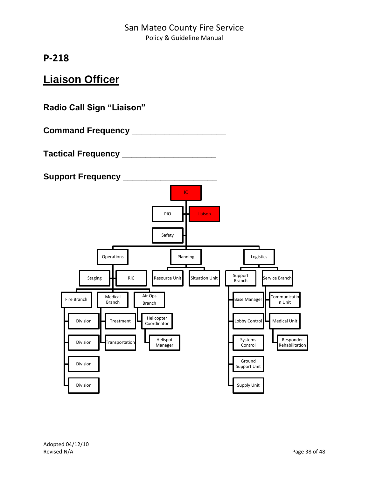# **Liaison Officer**

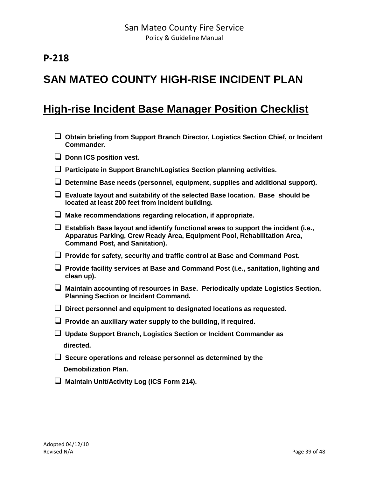# **SAN MATEO COUNTY HIGH-RISE INCIDENT PLAN**

## **High-rise Incident Base Manager Position Checklist**

- **Obtain briefing from Support Branch Director, Logistics Section Chief, or Incident Commander.**
- **□** Donn ICS position vest.
- **Participate in Support Branch/Logistics Section planning activities.**
- **Determine Base needs (personnel, equipment, supplies and additional support).**
- **Evaluate layout and suitability of the selected Base location. Base should be located at least 200 feet from incident building.**
- **Make recommendations regarding relocation, if appropriate.**
- **Establish Base layout and identify functional areas to support the incident (i.e., Apparatus Parking, Crew Ready Area, Equipment Pool, Rehabilitation Area, Command Post, and Sanitation).**
- **Provide for safety, security and traffic control at Base and Command Post.**
- **Provide facility services at Base and Command Post (i.e., sanitation, lighting and clean up).**
- **Maintain accounting of resources in Base. Periodically update Logistics Section, Planning Section or Incident Command.**
- **Direct personnel and equipment to designated locations as requested.**
- **Provide an auxiliary water supply to the building, if required.**
- **Update Support Branch, Logistics Section or Incident Commander as directed.**
- **Secure operations and release personnel as determined by the Demobilization Plan.**
- **Maintain Unit/Activity Log (ICS Form 214).**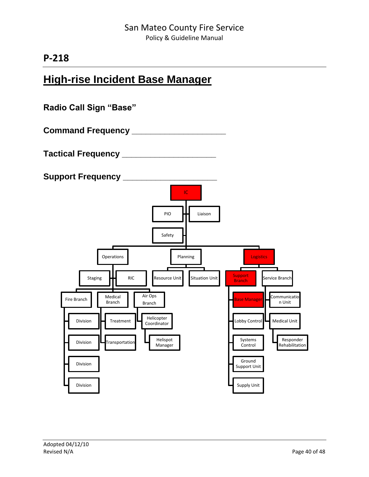# **High-rise Incident Base Manager**

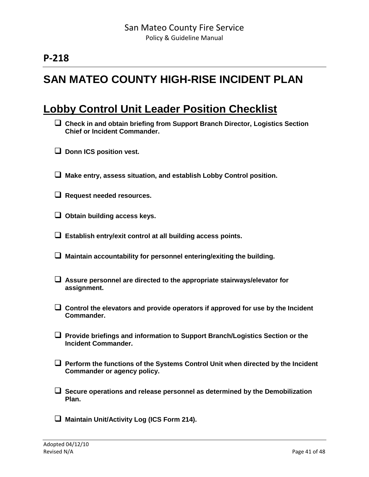# **SAN MATEO COUNTY HIGH-RISE INCIDENT PLAN**

## **Lobby Control Unit Leader Position Checklist**

- **Check in and obtain briefing from Support Branch Director, Logistics Section Chief or Incident Commander.**
- $\Box$  Donn ICS position vest.
- **Make entry, assess situation, and establish Lobby Control position.**
- **Request needed resources.**
- **Obtain building access keys.**
- **Establish entry/exit control at all building access points.**
- **Maintain accountability for personnel entering/exiting the building.**
- **Assure personnel are directed to the appropriate stairways/elevator for assignment.**
- **Control the elevators and provide operators if approved for use by the Incident Commander.**
- **Provide briefings and information to Support Branch/Logistics Section or the Incident Commander.**
- **Perform the functions of the Systems Control Unit when directed by the Incident Commander or agency policy.**
- **Secure operations and release personnel as determined by the Demobilization Plan.**
- **Maintain Unit/Activity Log (ICS Form 214).**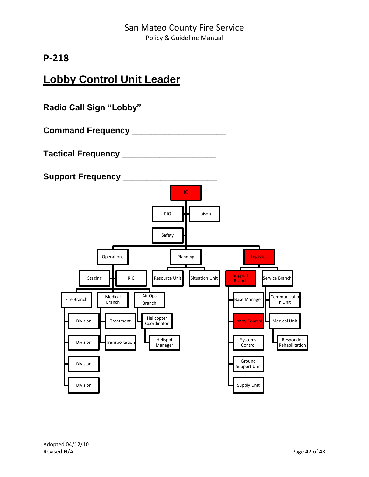# **Lobby Control Unit Leader**

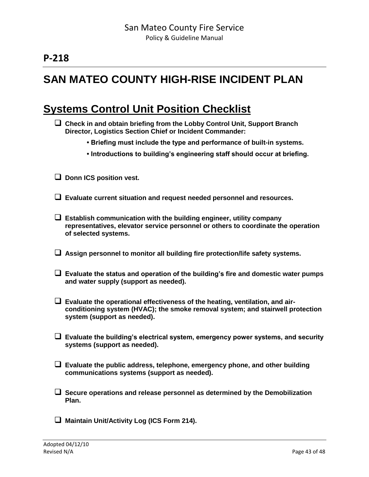# **SAN MATEO COUNTY HIGH-RISE INCIDENT PLAN**

## **Systems Control Unit Position Checklist**

| $\Box$ Check in and obtain briefing from the Lobby Control Unit, Support Branch |
|---------------------------------------------------------------------------------|
| Director, Logistics Section Chief or Incident Commander:                        |

- **Briefing must include the type and performance of built-in systems.**
- **Introductions to building's engineering staff should occur at briefing.**

**D** Donn ICS position vest.

- **Evaluate current situation and request needed personnel and resources.**
- **Establish communication with the building engineer, utility company representatives, elevator service personnel or others to coordinate the operation of selected systems.**
- **Assign personnel to monitor all building fire protection/life safety systems.**
- **Evaluate the status and operation of the building's fire and domestic water pumps and water supply (support as needed).**
- **Evaluate the operational effectiveness of the heating, ventilation, and airconditioning system (HVAC); the smoke removal system; and stairwell protection system (support as needed).**
- **Evaluate the building's electrical system, emergency power systems, and security systems (support as needed).**
- **Evaluate the public address, telephone, emergency phone, and other building communications systems (support as needed).**
- **Secure operations and release personnel as determined by the Demobilization Plan.**
- **Maintain Unit/Activity Log (ICS Form 214).**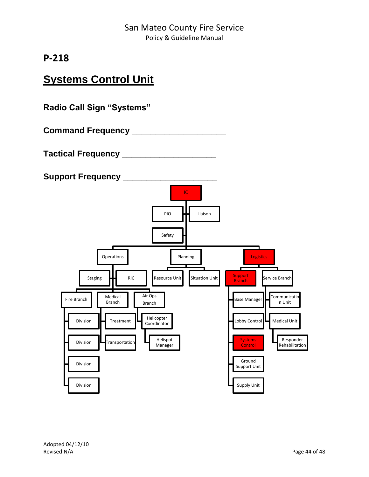# **Systems Control Unit**

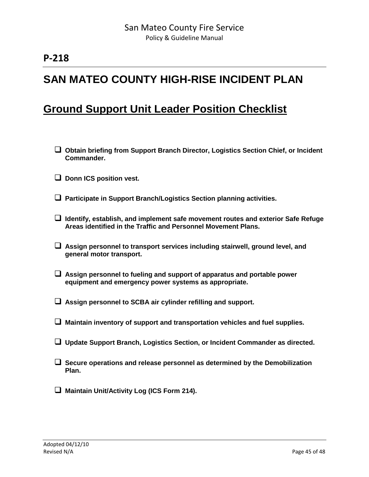# **SAN MATEO COUNTY HIGH-RISE INCIDENT PLAN**

## **Ground Support Unit Leader Position Checklist**

- **Obtain briefing from Support Branch Director, Logistics Section Chief, or Incident Commander.**
- **D** Donn ICS position vest.
- **Participate in Support Branch/Logistics Section planning activities.**
- **Identify, establish, and implement safe movement routes and exterior Safe Refuge Areas identified in the Traffic and Personnel Movement Plans.**
- **Assign personnel to transport services including stairwell, ground level, and general motor transport.**
- **Assign personnel to fueling and support of apparatus and portable power equipment and emergency power systems as appropriate.**
- **Assign personnel to SCBA air cylinder refilling and support.**
- **Maintain inventory of support and transportation vehicles and fuel supplies.**
- **Update Support Branch, Logistics Section, or Incident Commander as directed.**
- **Secure operations and release personnel as determined by the Demobilization Plan.**
- **Maintain Unit/Activity Log (ICS Form 214).**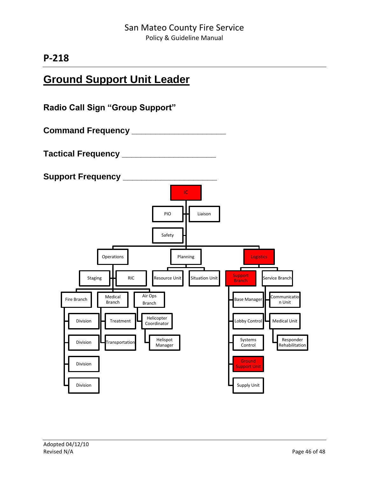# **Ground Support Unit Leader**

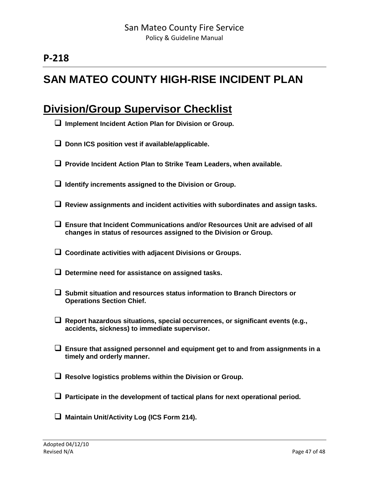# **SAN MATEO COUNTY HIGH-RISE INCIDENT PLAN**

## **Division/Group Supervisor Checklist**

- **Implement Incident Action Plan for Division or Group.**
- □ Donn ICS position vest if available/applicable.
- **Provide Incident Action Plan to Strike Team Leaders, when available.**
- **Identify increments assigned to the Division or Group.**
- **Review assignments and incident activities with subordinates and assign tasks.**
- **Ensure that Incident Communications and/or Resources Unit are advised of all changes in status of resources assigned to the Division or Group.**
- **Coordinate activities with adjacent Divisions or Groups.**
- **Determine need for assistance on assigned tasks.**
- **Submit situation and resources status information to Branch Directors or Operations Section Chief.**
- **Report hazardous situations, special occurrences, or significant events (e.g., accidents, sickness) to immediate supervisor.**
- **Ensure that assigned personnel and equipment get to and from assignments in a timely and orderly manner.**
- **Resolve logistics problems within the Division or Group.**
- **Participate in the development of tactical plans for next operational period.**
- **Maintain Unit/Activity Log (ICS Form 214).**